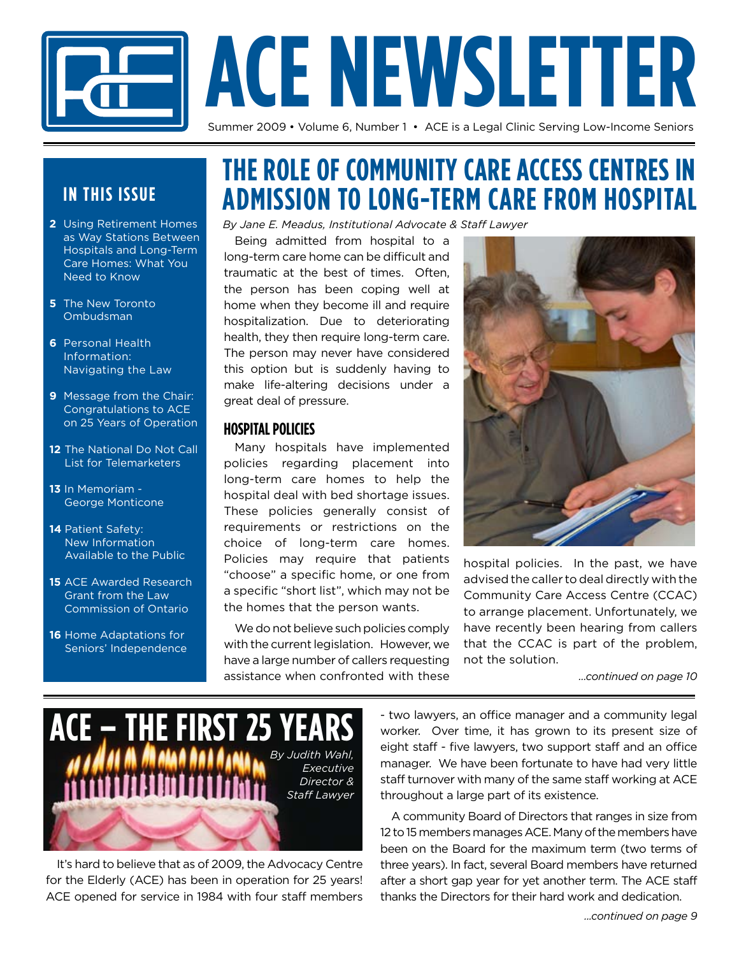# **ACE NEWSLETTER**

Summer 2009 • Volume 6, Number 1 • ACE is a Legal Clinic Serving Low-Income Seniors

#### **IN THIS ISSUE**

- **2** Using Retirement Homes as Way Stations Between Hospitals and Long-Term Care Homes: What You Need to Know
- **5** The New Toronto Ombudsman
- **6** Personal Health Information: Navigating the Law
- **9** Message from the Chair: Congratulations to ACE on 25 Years of Operation
- **12** The National Do Not Call List for Telemarketers
- **13** In Memoriam George Monticone
- **14** Patient Safety: New Information Available to the Public
- **15** ACE Awarded Research Grant from the Law Commission of Ontario
- **16** Home Adaptations for Seniors' Independence

### **THE ROLE OF COMMUNITY CARE ACCESS CENTRES IN ADMISSION TO LONG-TERM CARE FROM HOSPITAL**

*By Jane E. Meadus, Institutional Advocate & Staff Lawyer*

Being admitted from hospital to a long-term care home can be difficult and traumatic at the best of times. Often, the person has been coping well at home when they become ill and require hospitalization. Due to deteriorating health, they then require long-term care. The person may never have considered this option but is suddenly having to make life-altering decisions under a great deal of pressure.

#### **Hospital Policies**

Many hospitals have implemented policies regarding placement into long-term care homes to help the hospital deal with bed shortage issues. These policies generally consist of requirements or restrictions on the choice of long-term care homes. Policies may require that patients "choose" a specific home, or one from a specific "short list", which may not be the homes that the person wants.

We do not believe such policies comply with the current legislation. However, we have a large number of callers requesting assistance when confronted with these



hospital policies. In the past, we have advised the caller to deal directly with the Community Care Access Centre (CCAC) to arrange placement. Unfortunately, we have recently been hearing from callers that the CCAC is part of the problem, not the solution.

*...continued on page 10* 



It's hard to believe that as of 2009, the Advocacy Centre for the Elderly (ACE) has been in operation for 25 years! ACE opened for service in 1984 with four staff members - two lawyers, an office manager and a community legal worker. Over time, it has grown to its present size of eight staff - five lawyers, two support staff and an office manager. We have been fortunate to have had very little staff turnover with many of the same staff working at ACE throughout a large part of its existence.

A community Board of Directors that ranges in size from 12 to 15 members manages ACE. Many of the members have been on the Board for the maximum term (two terms of three years). In fact, several Board members have returned after a short gap year for yet another term. The ACE staff thanks the Directors for their hard work and dedication.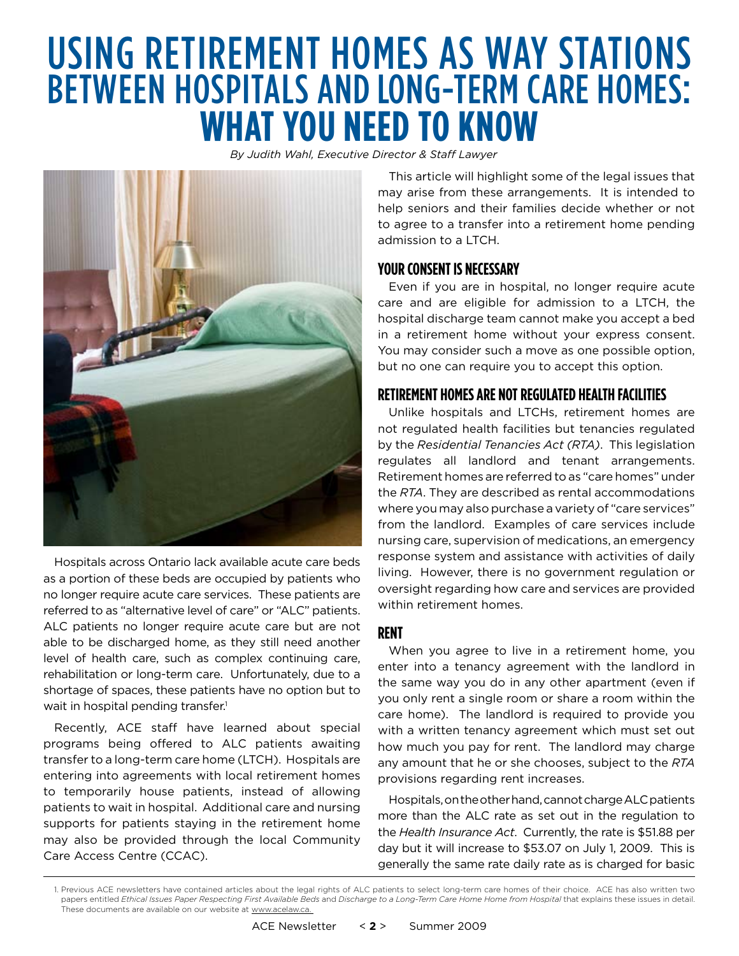# Using Retirement Homes as Way Stations between Hospitals and Long-Term Care Homes: **What You Need to Know**

*By Judith Wahl, Executive Director & Staff Lawyer*



Hospitals across Ontario lack available acute care beds as a portion of these beds are occupied by patients who no longer require acute care services. These patients are referred to as "alternative level of care" or "ALC" patients. ALC patients no longer require acute care but are not able to be discharged home, as they still need another level of health care, such as complex continuing care, rehabilitation or long-term care. Unfortunately, due to a shortage of spaces, these patients have no option but to wait in hospital pending transfer.<sup>1</sup>

Recently, ACE staff have learned about special programs being offered to ALC patients awaiting transfer to a long-term care home (LTCH). Hospitals are entering into agreements with local retirement homes to temporarily house patients, instead of allowing patients to wait in hospital. Additional care and nursing supports for patients staying in the retirement home may also be provided through the local Community Care Access Centre (CCAC).

This article will highlight some of the legal issues that may arise from these arrangements. It is intended to help seniors and their families decide whether or not to agree to a transfer into a retirement home pending admission to a LTCH.

#### **YOUR CONSENT IS NECESSARY**

Even if you are in hospital, no longer require acute care and are eligible for admission to a LTCH, the hospital discharge team cannot make you accept a bed in a retirement home without your express consent. You may consider such a move as one possible option, but no one can require you to accept this option.

#### **Retirement Homesare Not Regulated Health Facilities**

Unlike hospitals and LTCHs, retirement homes are not regulated health facilities but tenancies regulated by the *Residential Tenancies Act (RTA)*. This legislation regulates all landlord and tenant arrangements. Retirement homes are referred to as "care homes" under the *RTA*. They are described as rental accommodations where you may also purchase a variety of "care services" from the landlord. Examples of care services include nursing care, supervision of medications, an emergency response system and assistance with activities of daily living. However, there is no government regulation or oversight regarding how care and services are provided within retirement homes.

#### **Rent**

When you agree to live in a retirement home, you enter into a tenancy agreement with the landlord in the same way you do in any other apartment (even if you only rent a single room or share a room within the care home). The landlord is required to provide you with a written tenancy agreement which must set out how much you pay for rent. The landlord may charge any amount that he or she chooses, subject to the *RTA* provisions regarding rent increases.

Hospitals, on the other hand, cannot charge ALC patients more than the ALC rate as set out in the regulation to the *Health Insurance Act*. Currently, the rate is \$51.88 per day but it will increase to \$53.07 on July 1, 2009. This is generally the same rate daily rate as is charged for basic

<sup>1.</sup> Previous ACE newsletters have contained articles about the legal rights of ALC patients to select long-term care homes of their choice. ACE has also written two papers entitled *Ethical Issues Paper Respecting First Available Beds* and *Discharge to a Long-Term Care Home Home from Hospital* that explains these issues in detail. These documents are available on our website at www.acelaw.ca.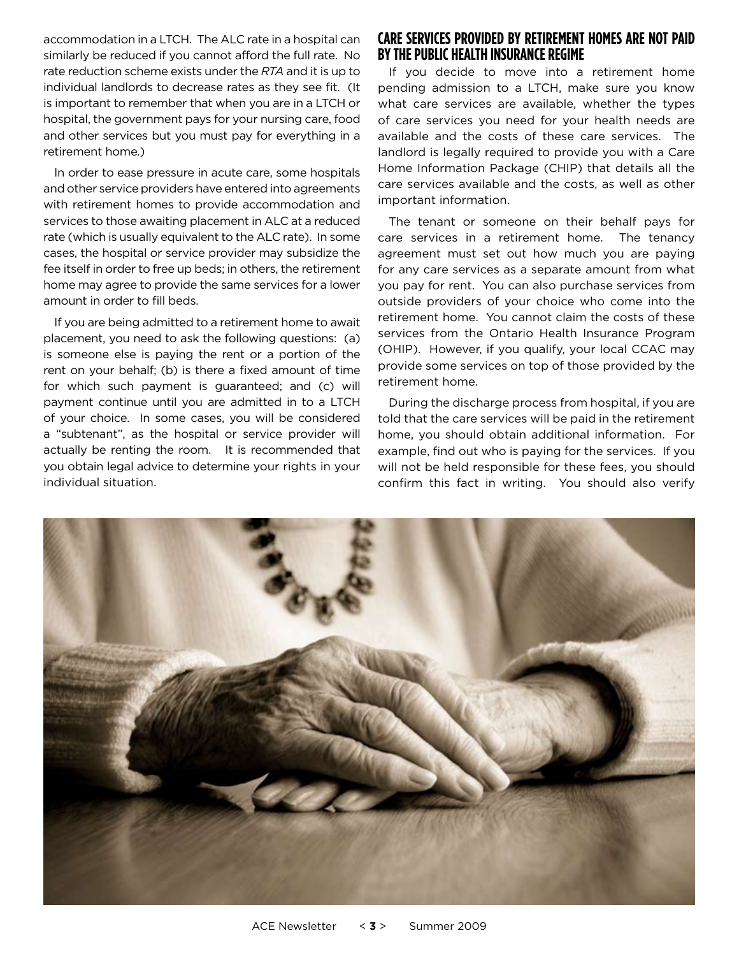accommodation in a LTCH. The ALC rate in a hospital can similarly be reduced if you cannot afford the full rate. No rate reduction scheme exists under the *RTA* and it is up to individual landlords to decrease rates as they see fit. (It is important to remember that when you are in a LTCH or hospital, the government pays for your nursing care, food and other services but you must pay for everything in a retirement home.)

In order to ease pressure in acute care, some hospitals and other service providers have entered into agreements with retirement homes to provide accommodation and services to those awaiting placement in ALC at a reduced rate (which is usually equivalent to the ALC rate). In some cases, the hospital or service provider may subsidize the fee itself in order to free up beds; in others, the retirement home may agree to provide the same services for a lower amount in order to fill beds.

If you are being admitted to a retirement home to await placement, you need to ask the following questions: (a) is someone else is paying the rent or a portion of the rent on your behalf; (b) is there a fixed amount of time for which such payment is guaranteed; and (c) will payment continue until you are admitted in to a LTCH of your choice. In some cases, you will be considered a "subtenant", as the hospital or service provider will actually be renting the room. It is recommended that you obtain legal advice to determine your rights in your individual situation.

#### **Care Services Provided by Retirement Homes Are Not Paid bythe Public Health Insurance Regime**

If you decide to move into a retirement home pending admission to a LTCH, make sure you know what care services are available, whether the types of care services you need for your health needs are available and the costs of these care services. The landlord is legally required to provide you with a Care Home Information Package (CHIP) that details all the care services available and the costs, as well as other important information.

The tenant or someone on their behalf pays for care services in a retirement home. The tenancy agreement must set out how much you are paying for any care services as a separate amount from what you pay for rent. You can also purchase services from outside providers of your choice who come into the retirement home. You cannot claim the costs of these services from the Ontario Health Insurance Program (OHIP). However, if you qualify, your local CCAC may provide some services on top of those provided by the retirement home.

During the discharge process from hospital, if you are told that the care services will be paid in the retirement home, you should obtain additional information. For example, find out who is paying for the services. If you will not be held responsible for these fees, you should confirm this fact in writing. You should also verify

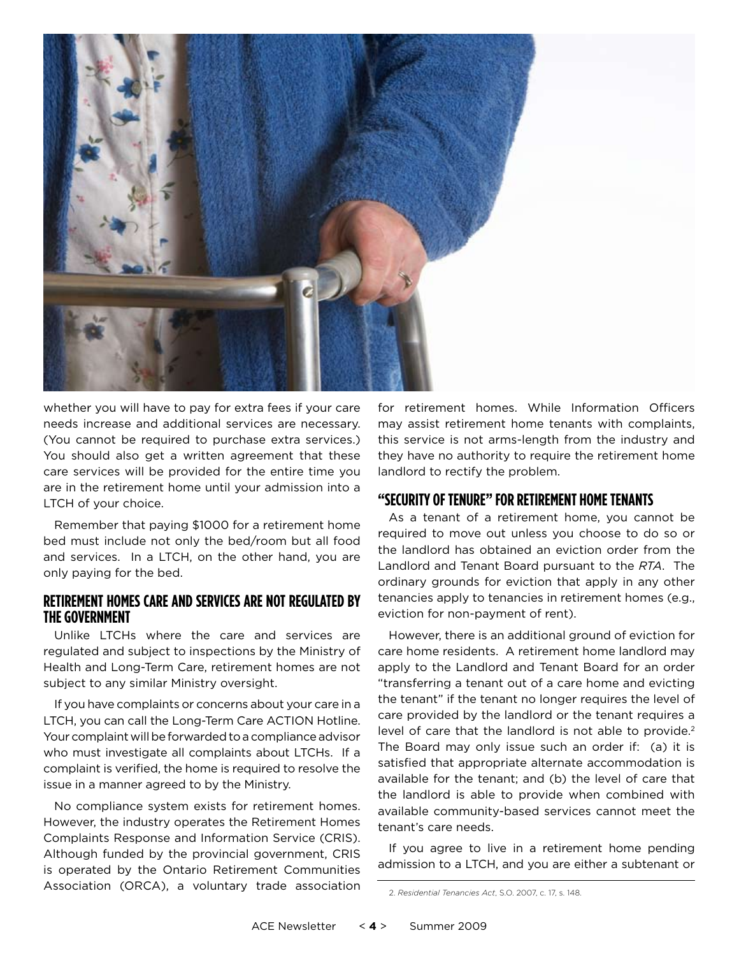

whether you will have to pay for extra fees if your care needs increase and additional services are necessary. (You cannot be required to purchase extra services.) You should also get a written agreement that these care services will be provided for the entire time you are in the retirement home until your admission into a LTCH of your choice.

Remember that paying \$1000 for a retirement home bed must include not only the bed/room but all food and services. In a LTCH, on the other hand, you are only paying for the bed.

#### **Retirement Homes Care and Services Are Not Regulated by the Government**

Unlike LTCHs where the care and services are regulated and subject to inspections by the Ministry of Health and Long-Term Care, retirement homes are not subject to any similar Ministry oversight.

If you have complaints or concerns about your care in a LTCH, you can call the Long-Term Care ACTION Hotline. Your complaint will be forwarded to a compliance advisor who must investigate all complaints about LTCHs. If a complaint is verified, the home is required to resolve the issue in a manner agreed to by the Ministry.

No compliance system exists for retirement homes. However, the industry operates the Retirement Homes Complaints Response and Information Service (CRIS). Although funded by the provincial government, CRIS is operated by the Ontario Retirement Communities Association (ORCA), a voluntary trade association for retirement homes. While Information Officers may assist retirement home tenants with complaints, this service is not arms-length from the industry and they have no authority to require the retirement home landlord to rectify the problem.

#### **"Security of Tenure" for Retirement Home Tenants**

As a tenant of a retirement home, you cannot be required to move out unless you choose to do so or the landlord has obtained an eviction order from the Landlord and Tenant Board pursuant to the *RTA*. The ordinary grounds for eviction that apply in any other tenancies apply to tenancies in retirement homes (e.g., eviction for non-payment of rent).

However, there is an additional ground of eviction for care home residents. A retirement home landlord may apply to the Landlord and Tenant Board for an order "transferring a tenant out of a care home and evicting the tenant" if the tenant no longer requires the level of care provided by the landlord or the tenant requires a level of care that the landlord is not able to provide.<sup>2</sup> The Board may only issue such an order if: (a) it is satisfied that appropriate alternate accommodation is available for the tenant; and (b) the level of care that the landlord is able to provide when combined with available community-based services cannot meet the tenant's care needs.

If you agree to live in a retirement home pending admission to a LTCH, and you are either a subtenant or

<sup>2.</sup> *Residential Tenancies Act*, S.O. 2007, c. 17, s. 148.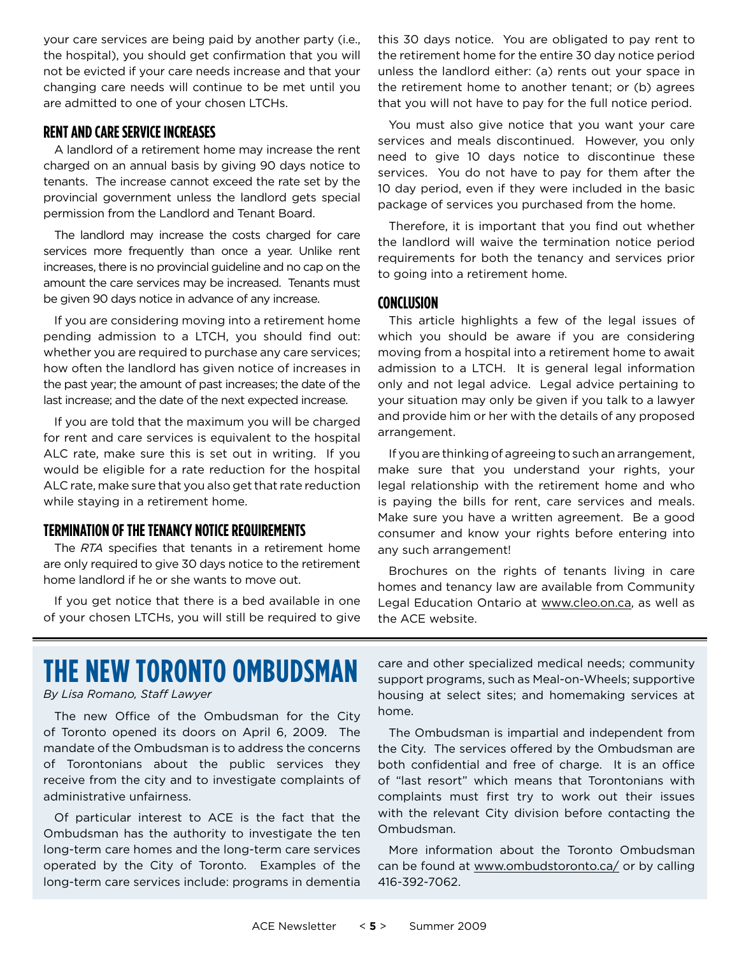your care services are being paid by another party (i.e., the hospital), you should get confirmation that you will not be evicted if your care needs increase and that your changing care needs will continue to be met until you are admitted to one of your chosen LTCHs.

#### **Rentand Care Service Increases**

A landlord of a retirement home may increase the rent charged on an annual basis by giving 90 days notice to tenants. The increase cannot exceed the rate set by the provincial government unless the landlord gets special permission from the Landlord and Tenant Board.

The landlord may increase the costs charged for care services more frequently than once a year. Unlike rent increases, there is no provincial guideline and no cap on the amount the care services may be increased. Tenants must be given 90 days notice in advance of any increase.

If you are considering moving into a retirement home pending admission to a LTCH, you should find out: whether you are required to purchase any care services; how often the landlord has given notice of increases in the past year; the amount of past increases; the date of the last increase; and the date of the next expected increase.

If you are told that the maximum you will be charged for rent and care services is equivalent to the hospital ALC rate, make sure this is set out in writing. If you would be eligible for a rate reduction for the hospital ALC rate, make sure that you also get that rate reduction while staying in a retirement home.

#### **Termination ofthe Tenancy Notice Requirements**

The *RTA* specifies that tenants in a retirement home are only required to give 30 days notice to the retirement home landlord if he or she wants to move out.

If you get notice that there is a bed available in one of your chosen LTCHs, you will still be required to give this 30 days notice. You are obligated to pay rent to the retirement home for the entire 30 day notice period unless the landlord either: (a) rents out your space in the retirement home to another tenant; or (b) agrees that you will not have to pay for the full notice period.

You must also give notice that you want your care services and meals discontinued. However, you only need to give 10 days notice to discontinue these services. You do not have to pay for them after the 10 day period, even if they were included in the basic package of services you purchased from the home.

Therefore, it is important that you find out whether the landlord will waive the termination notice period requirements for both the tenancy and services prior to going into a retirement home.

#### **Conclusion**

This article highlights a few of the legal issues of which you should be aware if you are considering moving from a hospital into a retirement home to await admission to a LTCH. It is general legal information only and not legal advice. Legal advice pertaining to your situation may only be given if you talk to a lawyer and provide him or her with the details of any proposed arrangement.

If you are thinking of agreeing to such an arrangement, make sure that you understand your rights, your legal relationship with the retirement home and who is paying the bills for rent, care services and meals. Make sure you have a written agreement. Be a good consumer and know your rights before entering into any such arrangement!

Brochures on the rights of tenants living in care homes and tenancy law are available from Community Legal Education Ontario at www.cleo.on.ca, as well as the ACE website.

## **The New Toronto Ombudsman**

*By Lisa Romano, Staff Lawyer*

The new Office of the Ombudsman for the City of Toronto opened its doors on April 6, 2009. The mandate of the Ombudsman is to address the concerns of Torontonians about the public services they receive from the city and to investigate complaints of administrative unfairness.

Of particular interest to ACE is the fact that the Ombudsman has the authority to investigate the ten long-term care homes and the long-term care services operated by the City of Toronto. Examples of the long-term care services include: programs in dementia care and other specialized medical needs; community support programs, such as Meal-on-Wheels; supportive housing at select sites; and homemaking services at home.

The Ombudsman is impartial and independent from the City. The services offered by the Ombudsman are both confidential and free of charge. It is an office of "last resort" which means that Torontonians with complaints must first try to work out their issues with the relevant City division before contacting the Ombudsman.

More information about the Toronto Ombudsman can be found at www.ombudstoronto.ca/ or by calling 416-392-7062.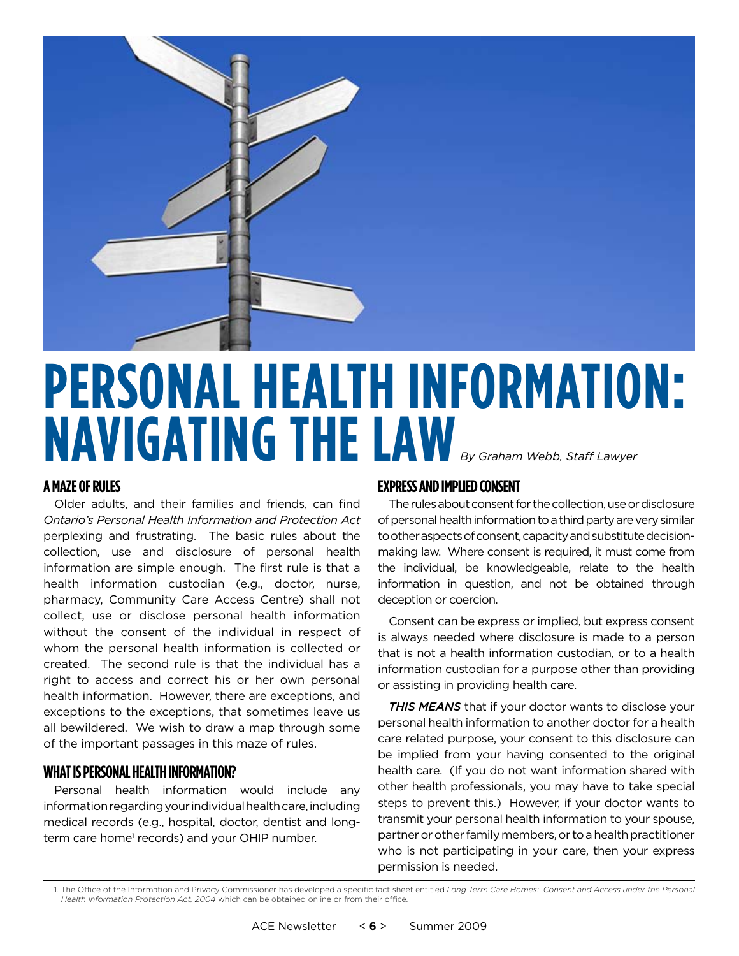

# **Personal Health Information: Navigating the Law** *By Graham Webb, Staff Lawyer*

#### **A Maze of Rules**

Older adults, and their families and friends, can find *Ontario's Personal Health Information and Protection Act* perplexing and frustrating. The basic rules about the collection, use and disclosure of personal health information are simple enough. The first rule is that a health information custodian (e.g., doctor, nurse, pharmacy, Community Care Access Centre) shall not collect, use or disclose personal health information without the consent of the individual in respect of whom the personal health information is collected or created. The second rule is that the individual has a right to access and correct his or her own personal health information. However, there are exceptions, and exceptions to the exceptions, that sometimes leave us all bewildered. We wish to draw a map through some of the important passages in this maze of rules.

#### **WHAT IS PERSONAL HEALTH INFORMATION?**

Personal health information would include any information regarding your individual health care, including medical records (e.g., hospital, doctor, dentist and longterm care home<sup>1</sup> records) and your OHIP number.

#### **Expressand Implied Consent**

The rules about consent for the collection, use or disclosure of personal health information to a third party are very similar to other aspects of consent, capacity and substitute decisionmaking law. Where consent is required, it must come from the individual, be knowledgeable, relate to the health information in question, and not be obtained through deception or coercion.

Consent can be express or implied, but express consent is always needed where disclosure is made to a person that is not a health information custodian, or to a health information custodian for a purpose other than providing or assisting in providing health care.

*THIS MEANS* that if your doctor wants to disclose your personal health information to another doctor for a health care related purpose, your consent to this disclosure can be implied from your having consented to the original health care. (If you do not want information shared with other health professionals, you may have to take special steps to prevent this.) However, if your doctor wants to transmit your personal health information to your spouse, partner or other family members, or to a health practitioner who is not participating in your care, then your express permission is needed.

1. The Office of the Information and Privacy Commissioner has developed a specific fact sheet entitled *Long-Term Care Homes: Consent and Access under the Personal Health Information Protection Act, 2004* which can be obtained online or from their office.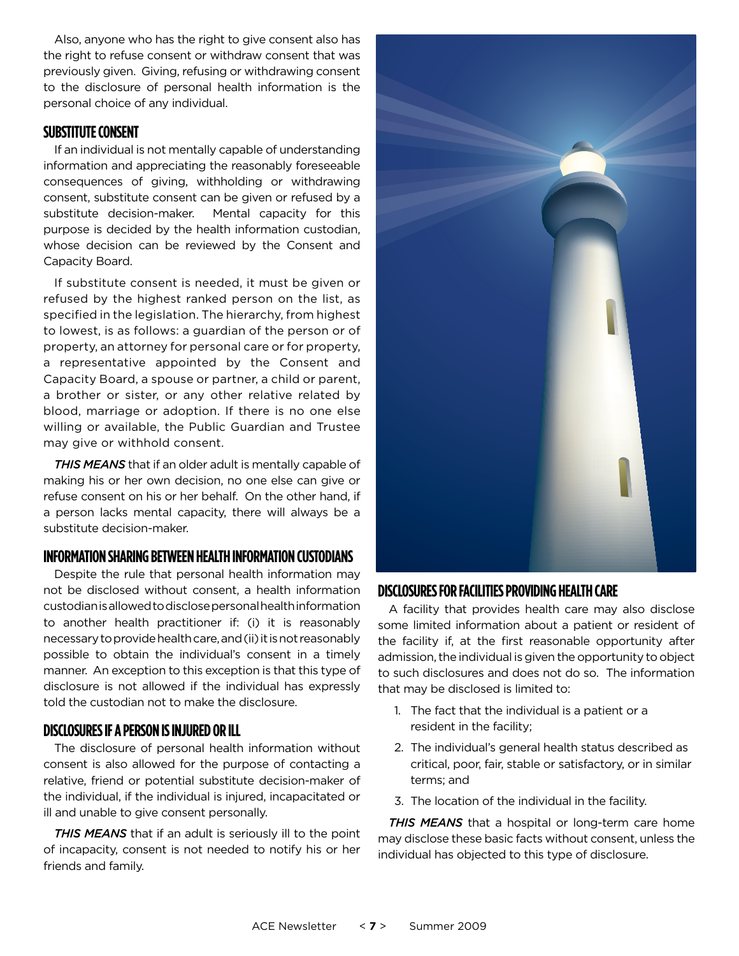Also, anyone who has the right to give consent also has the right to refuse consent or withdraw consent that was previously given. Giving, refusing or withdrawing consent to the disclosure of personal health information is the personal choice of any individual.

#### **Substitute Consent**

If an individual is not mentally capable of understanding information and appreciating the reasonably foreseeable consequences of giving, withholding or withdrawing consent, substitute consent can be given or refused by a substitute decision-maker. Mental capacity for this purpose is decided by the health information custodian, whose decision can be reviewed by the Consent and Capacity Board.

If substitute consent is needed, it must be given or refused by the highest ranked person on the list, as specified in the legislation. The hierarchy, from highest to lowest, is as follows: a guardian of the person or of property, an attorney for personal care or for property, a representative appointed by the Consent and Capacity Board, a spouse or partner, a child or parent, a brother or sister, or any other relative related by blood, marriage or adoption. If there is no one else willing or available, the Public Guardian and Trustee may give or withhold consent.

*THIS MEANS* that if an older adult is mentally capable of making his or her own decision, no one else can give or refuse consent on his or her behalf. On the other hand, if a person lacks mental capacity, there will always be a substitute decision-maker.

#### **Information Sharing between Health Information Custodians**

Despite the rule that personal health information may not be disclosed without consent, a health information custodian is allowed to disclose personal health information to another health practitioner if: (i) it is reasonably necessary to provide health care, and (ii) it is not reasonably possible to obtain the individual's consent in a timely manner. An exception to this exception is that this type of disclosure is not allowed if the individual has expressly told the custodian not to make the disclosure.

#### **Disclosuresifa Person is Injured or Ill**

The disclosure of personal health information without consent is also allowed for the purpose of contacting a relative, friend or potential substitute decision-maker of the individual, if the individual is injured, incapacitated or ill and unable to give consent personally.

*THIS MEANS* that if an adult is seriously ill to the point of incapacity, consent is not needed to notify his or her friends and family.



#### **Disclosuresfor Facilities Providing Health Care**

A facility that provides health care may also disclose some limited information about a patient or resident of the facility if, at the first reasonable opportunity after admission, the individual is given the opportunity to object to such disclosures and does not do so. The information that may be disclosed is limited to:

- 1. The fact that the individual is a patient or a resident in the facility;
- 2. The individual's general health status described as critical, poor, fair, stable or satisfactory, or in similar terms; and
- 3. The location of the individual in the facility.

*THIS MEANS* that a hospital or long-term care home may disclose these basic facts without consent, unless the individual has objected to this type of disclosure.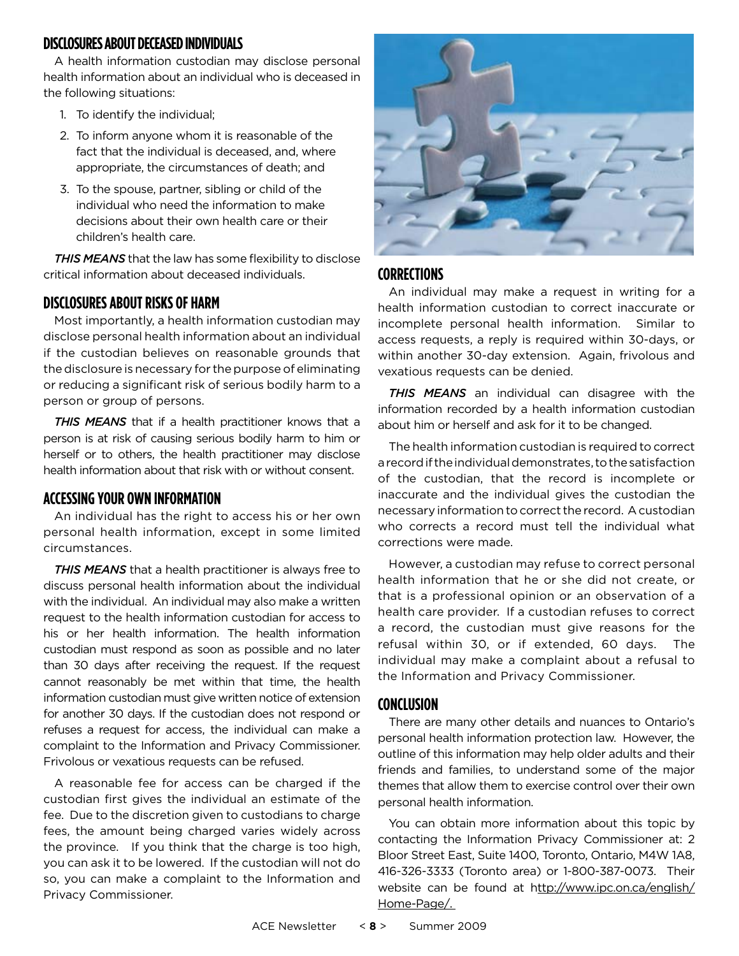#### **Disclosuresabout Deceased Individuals**

A health information custodian may disclose personal health information about an individual who is deceased in the following situations:

- 1. To identify the individual;
- 2. To inform anyone whom it is reasonable of the fact that the individual is deceased, and, where appropriate, the circumstances of death; and
- 3. To the spouse, partner, sibling or child of the individual who need the information to make decisions about their own health care or their children's health care.

*THIS MEANS* that the law has some flexibility to disclose critical information about deceased individuals.

#### **Disclosuresabout Risks of Harm**

Most importantly, a health information custodian may disclose personal health information about an individual if the custodian believes on reasonable grounds that the disclosure is necessary for the purpose of eliminating or reducing a significant risk of serious bodily harm to a person or group of persons.

*THIS MEANS* that if a health practitioner knows that a person is at risk of causing serious bodily harm to him or herself or to others, the health practitioner may disclose health information about that risk with or without consent.

#### **Accessing Your Own Information**

An individual has the right to access his or her own personal health information, except in some limited circumstances.

*THIS MEANS* that a health practitioner is always free to discuss personal health information about the individual with the individual. An individual may also make a written request to the health information custodian for access to his or her health information. The health information custodian must respond as soon as possible and no later than 30 days after receiving the request. If the request cannot reasonably be met within that time, the health information custodian must give written notice of extension for another 30 days. If the custodian does not respond or refuses a request for access, the individual can make a complaint to the Information and Privacy Commissioner. Frivolous or vexatious requests can be refused.

A reasonable fee for access can be charged if the custodian first gives the individual an estimate of the fee. Due to the discretion given to custodians to charge fees, the amount being charged varies widely across the province. If you think that the charge is too high, you can ask it to be lowered. If the custodian will not do so, you can make a complaint to the Information and Privacy Commissioner.



#### **Corrections**

An individual may make a request in writing for a health information custodian to correct inaccurate or incomplete personal health information. Similar to access requests, a reply is required within 30-days, or within another 30-day extension. Again, frivolous and vexatious requests can be denied.

*THIS MEANS* an individual can disagree with the information recorded by a health information custodian about him or herself and ask for it to be changed.

The health information custodian is required to correct a record if the individual demonstrates, to the satisfaction of the custodian, that the record is incomplete or inaccurate and the individual gives the custodian the necessary information to correct the record. A custodian who corrects a record must tell the individual what corrections were made.

However, a custodian may refuse to correct personal health information that he or she did not create, or that is a professional opinion or an observation of a health care provider. If a custodian refuses to correct a record, the custodian must give reasons for the refusal within 30, or if extended, 60 days. The individual may make a complaint about a refusal to the Information and Privacy Commissioner.

#### **Conclusion**

There are many other details and nuances to Ontario's personal health information protection law. However, the outline of this information may help older adults and their friends and families, to understand some of the major themes that allow them to exercise control over their own personal health information.

You can obtain more information about this topic by contacting the Information Privacy Commissioner at: 2 Bloor Street East, Suite 1400, Toronto, Ontario, M4W 1A8, 416-326-3333 (Toronto area) or 1-800-387-0073. Their website can be found at http://www.ipc.on.ca/english/ Home-Page/.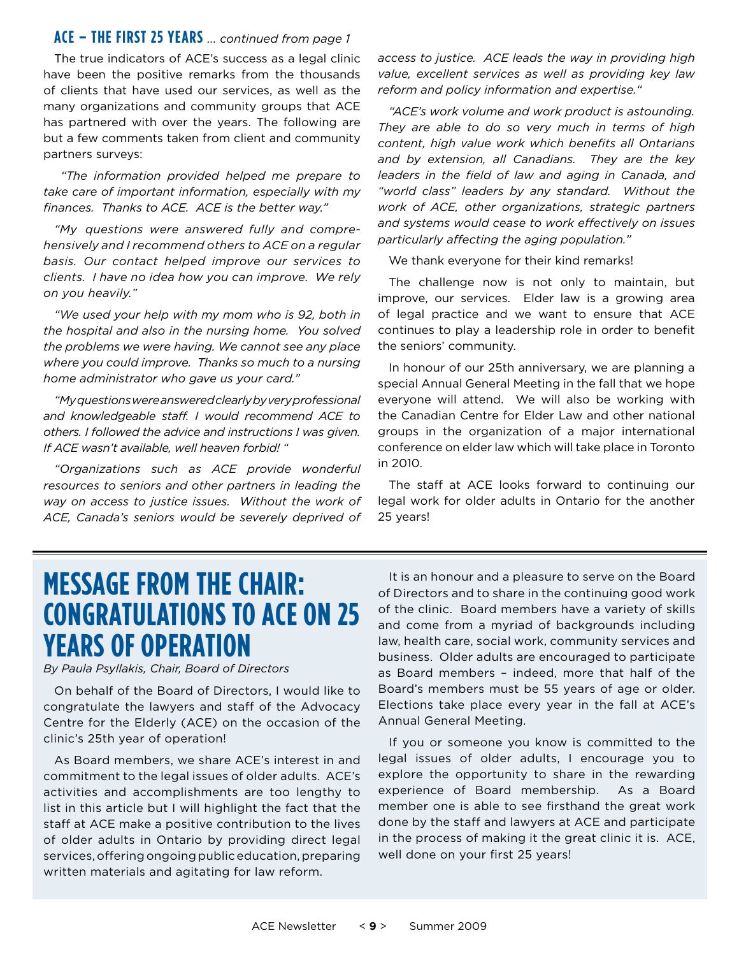#### **ACE – THE FIRST 25 YEARS** *... continued from page 1*

The true indicators of ACE's success as a legal clinic have been the positive remarks from the thousands of clients that have used our services, as well as the many organizations and community groups that ACE has partnered with over the years. The following are but a few comments taken from client and community partners surveys:

 *"The information provided helped me prepare to take care of important information, especially with my finances. Thanks to ACE. ACE is the better way."*

*"My questions were answered fully and comprehensively and I recommend others to ACE on a regular basis. Our contact helped improve our services to clients. I have no idea how you can improve. We rely on you heavily."* 

*"We used your help with my mom who is 92, both in the hospital and also in the nursing home. You solved the problems we were having. We cannot see any place where you could improve. Thanks so much to a nursing home administrator who gave us your card."*

*"My questions were answered clearly by very professional and knowledgeable staff. I would recommend ACE to others. I followed the advice and instructions I was given. If ACE wasn't available, well heaven forbid! "*

*"Organizations such as ACE provide wonderful resources to seniors and other partners in leading the way on access to justice issues. Without the work of ACE, Canada's seniors would be severely deprived of*  *access to justice. ACE leads the way in providing high value, excellent services as well as providing key law reform and policy information and expertise."* 

*"ACE's work volume and work product is astounding. They are able to do so very much in terms of high content, high value work which benefits all Ontarians and by extension, all Canadians. They are the key leaders in the field of law and aging in Canada, and "world class" leaders by any standard. Without the work of ACE, other organizations, strategic partners and systems would cease to work effectively on issues particularly affecting the aging population."*

We thank everyone for their kind remarks!

The challenge now is not only to maintain, but improve, our services. Elder law is a growing area of legal practice and we want to ensure that ACE continues to play a leadership role in order to benefit the seniors' community.

In honour of our 25th anniversary, we are planning a special Annual General Meeting in the fall that we hope everyone will attend. We will also be working with the Canadian Centre for Elder Law and other national groups in the organization of a major international conference on elder law which will take place in Toronto in 2010.

The staff at ACE looks forward to continuing our legal work for older adults in Ontario for the another 25 years!

### **Message from the Chair: Congratulations to ACE on 25 Years of Operation**

*By Paula Psyllakis, Chair, Board of Directors*

On behalf of the Board of Directors, I would like to congratulate the lawyers and staff of the Advocacy Centre for the Elderly (ACE) on the occasion of the clinic's 25th year of operation!

As Board members, we share ACE's interest in and commitment to the legal issues of older adults. ACE's activities and accomplishments are too lengthy to list in this article but I will highlight the fact that the staff at ACE make a positive contribution to the lives of older adults in Ontario by providing direct legal services, offering ongoing public education, preparing written materials and agitating for law reform.

It is an honour and a pleasure to serve on the Board of Directors and to share in the continuing good work of the clinic. Board members have a variety of skills and come from a myriad of backgrounds including law, health care, social work, community services and business. Older adults are encouraged to participate as Board members – indeed, more that half of the Board's members must be 55 years of age or older. Elections take place every year in the fall at ACE's Annual General Meeting.

If you or someone you know is committed to the legal issues of older adults, I encourage you to explore the opportunity to share in the rewarding experience of Board membership. As a Board member one is able to see firsthand the great work done by the staff and lawyers at ACE and participate in the process of making it the great clinic it is. ACE, well done on your first 25 years!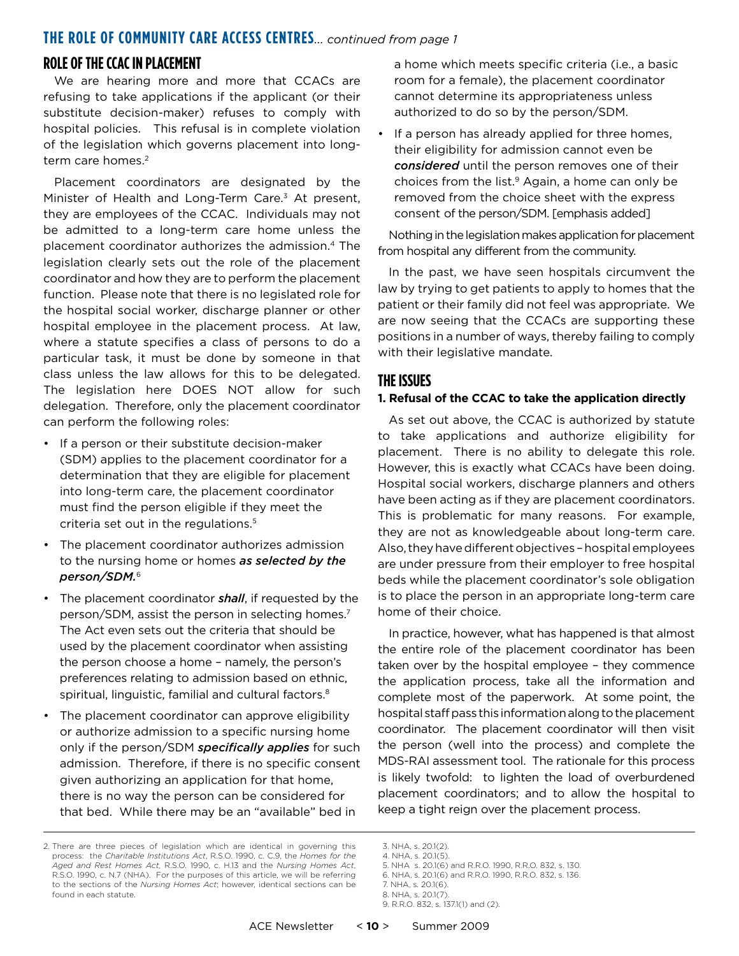#### **THE ROLE OF COMMUNITY CARE ACCESS CENTRES***... continued from page 1*

#### **ROLE OF THE CCAC IN PLACEMENT**

We are hearing more and more that CCACs are refusing to take applications if the applicant (or their substitute decision-maker) refuses to comply with hospital policies. This refusal is in complete violation of the legislation which governs placement into longterm care homes.<sup>2</sup>

Placement coordinators are designated by the Minister of Health and Long-Term Care.3 At present, they are employees of the CCAC. Individuals may not be admitted to a long-term care home unless the placement coordinator authorizes the admission.4 The legislation clearly sets out the role of the placement coordinator and how they are to perform the placement function. Please note that there is no legislated role for the hospital social worker, discharge planner or other hospital employee in the placement process. At law, where a statute specifies a class of persons to do a particular task, it must be done by someone in that class unless the law allows for this to be delegated. The legislation here DOES NOT allow for such delegation. Therefore, only the placement coordinator can perform the following roles:

- If a person or their substitute decision-maker (SDM) applies to the placement coordinator for a determination that they are eligible for placement into long-term care, the placement coordinator must find the person eligible if they meet the criteria set out in the regulations.<sup>5</sup>
- The placement coordinator authorizes admission to the nursing home or homes *as selected by the person/SDM.*<sup>6</sup>
- The placement coordinator *shall*, if requested by the person/SDM, assist the person in selecting homes.7 The Act even sets out the criteria that should be used by the placement coordinator when assisting the person choose a home – namely, the person's preferences relating to admission based on ethnic, spiritual, linguistic, familial and cultural factors.<sup>8</sup>
- The placement coordinator can approve eligibility or authorize admission to a specific nursing home only if the person/SDM *specifically applies* for such admission. Therefore, if there is no specific consent given authorizing an application for that home, there is no way the person can be considered for that bed. While there may be an "available" bed in

a home which meets specific criteria (i.e., a basic room for a female), the placement coordinator cannot determine its appropriateness unless authorized to do so by the person/SDM.

If a person has already applied for three homes, their eligibility for admission cannot even be *considered* until the person removes one of their choices from the list.9 Again, a home can only be removed from the choice sheet with the express consent of the person/SDM. [emphasis added]

Nothing in the legislation makes application for placement from hospital any different from the community.

In the past, we have seen hospitals circumvent the law by trying to get patients to apply to homes that the patient or their family did not feel was appropriate. We are now seeing that the CCACs are supporting these positions in a number of ways, thereby failing to comply with their legislative mandate.

#### **The Issues**

#### **1. Refusal of the CCAC to take the application directly**

As set out above, the CCAC is authorized by statute to take applications and authorize eligibility for placement. There is no ability to delegate this role. However, this is exactly what CCACs have been doing. Hospital social workers, discharge planners and others have been acting as if they are placement coordinators. This is problematic for many reasons. For example, they are not as knowledgeable about long-term care. Also, they have different objectives – hospital employees are under pressure from their employer to free hospital beds while the placement coordinator's sole obligation is to place the person in an appropriate long-term care home of their choice.

In practice, however, what has happened is that almost the entire role of the placement coordinator has been taken over by the hospital employee – they commence the application process, take all the information and complete most of the paperwork. At some point, the hospital staff pass this information along to the placement coordinator. The placement coordinator will then visit the person (well into the process) and complete the MDS-RAI assessment tool. The rationale for this process is likely twofold: to lighten the load of overburdened placement coordinators; and to allow the hospital to keep a tight reign over the placement process.

5. NHA s. 20.1(6) and R.R.O. 1990, R.R.O. 832, s. 130. 6. NHA, s. 20.1(6) and R.R.O. 1990, R.R.O. 832, s. 136.

<sup>2.</sup> There are three pieces of legislation which are identical in governing this process: the *Charitable Institutions Act*, R.S.O. 1990, c. C.9, the *Homes for the Aged and Rest Homes Act,* R.S.O. 1990, c. H.13 and the *Nursing Homes Act*, R.S.O. 1990, c. N.7 (NHA). For the purposes of this article, we will be referring to the sections of the *Nursing Homes Act*; however, identical sections can be found in each statute.

<sup>3.</sup> NHA, s. 20.1(2).

<sup>4.</sup> NHA, s. 20.1(5).

<sup>7.</sup> NHA, s. 20.1(6).

<sup>8.</sup> NHA, s. 20.1(7).

<sup>9.</sup> R.R.O. 832, s. 137.1(1) and (2).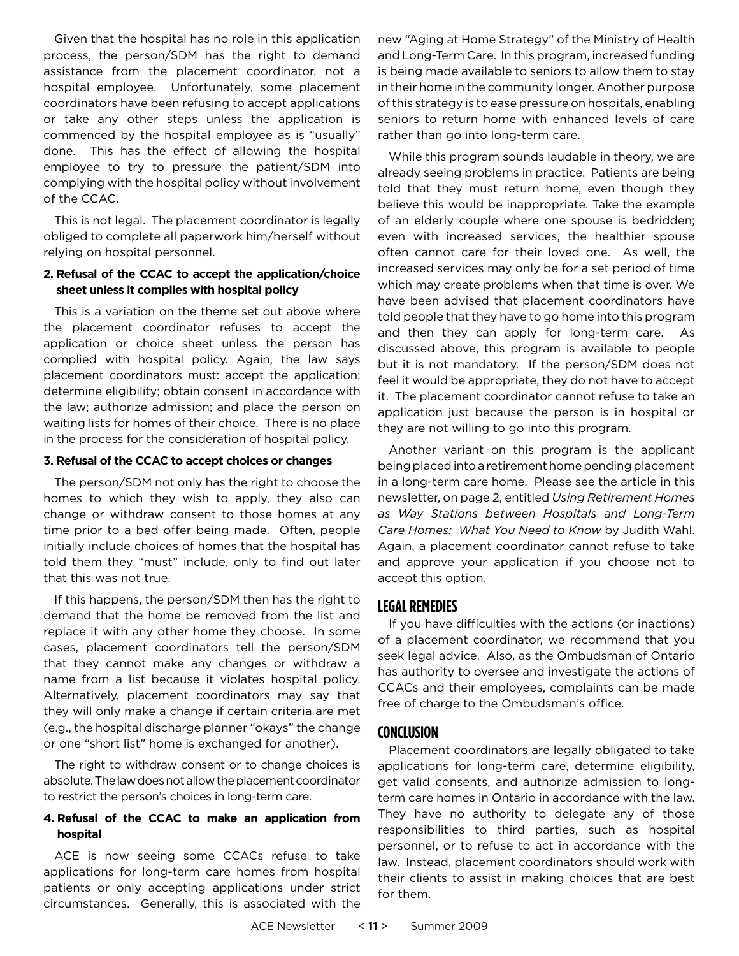Given that the hospital has no role in this application process, the person/SDM has the right to demand assistance from the placement coordinator, not a hospital employee. Unfortunately, some placement coordinators have been refusing to accept applications or take any other steps unless the application is commenced by the hospital employee as is "usually" done. This has the effect of allowing the hospital employee to try to pressure the patient/SDM into complying with the hospital policy without involvement of the CCAC.

This is not legal. The placement coordinator is legally obliged to complete all paperwork him/herself without relying on hospital personnel.

#### **2. Refusal of the CCAC to accept the application/choice sheet unless it complies with hospital policy**

This is a variation on the theme set out above where the placement coordinator refuses to accept the application or choice sheet unless the person has complied with hospital policy. Again, the law says placement coordinators must: accept the application; determine eligibility; obtain consent in accordance with the law; authorize admission; and place the person on waiting lists for homes of their choice. There is no place in the process for the consideration of hospital policy.

#### **3. Refusal of the CCAC to accept choices or changes**

The person/SDM not only has the right to choose the homes to which they wish to apply, they also can change or withdraw consent to those homes at any time prior to a bed offer being made. Often, people initially include choices of homes that the hospital has told them they "must" include, only to find out later that this was not true.

If this happens, the person/SDM then has the right to demand that the home be removed from the list and replace it with any other home they choose. In some cases, placement coordinators tell the person/SDM that they cannot make any changes or withdraw a name from a list because it violates hospital policy. Alternatively, placement coordinators may say that they will only make a change if certain criteria are met (e.g., the hospital discharge planner "okays" the change or one "short list" home is exchanged for another).

The right to withdraw consent or to change choices is absolute. The law does not allow the placement coordinator to restrict the person's choices in long-term care.

#### **4. Refusal of the CCAC to make an application from hospital**

ACE is now seeing some CCACs refuse to take applications for long-term care homes from hospital patients or only accepting applications under strict circumstances. Generally, this is associated with the new "Aging at Home Strategy" of the Ministry of Health and Long-Term Care. In this program, increased funding is being made available to seniors to allow them to stay in their home in the community longer. Another purpose of this strategy is to ease pressure on hospitals, enabling seniors to return home with enhanced levels of care rather than go into long-term care.

While this program sounds laudable in theory, we are already seeing problems in practice. Patients are being told that they must return home, even though they believe this would be inappropriate. Take the example of an elderly couple where one spouse is bedridden; even with increased services, the healthier spouse often cannot care for their loved one. As well, the increased services may only be for a set period of time which may create problems when that time is over. We have been advised that placement coordinators have told people that they have to go home into this program and then they can apply for long-term care. As discussed above, this program is available to people but it is not mandatory. If the person/SDM does not feel it would be appropriate, they do not have to accept it. The placement coordinator cannot refuse to take an application just because the person is in hospital or they are not willing to go into this program.

Another variant on this program is the applicant being placed into a retirement home pending placement in a long-term care home. Please see the article in this newsletter, on page 2, entitled *Using Retirement Homes as Way Stations between Hospitals and Long-Term Care Homes: What You Need to Know* by Judith Wahl. Again, a placement coordinator cannot refuse to take and approve your application if you choose not to accept this option.

#### **Legal Remedies**

If you have difficulties with the actions (or inactions) of a placement coordinator, we recommend that you seek legal advice. Also, as the Ombudsman of Ontario has authority to oversee and investigate the actions of CCACs and their employees, complaints can be made free of charge to the Ombudsman's office.

#### **Conclusion**

Placement coordinators are legally obligated to take applications for long-term care, determine eligibility, get valid consents, and authorize admission to longterm care homes in Ontario in accordance with the law. They have no authority to delegate any of those responsibilities to third parties, such as hospital personnel, or to refuse to act in accordance with the law. Instead, placement coordinators should work with their clients to assist in making choices that are best for them.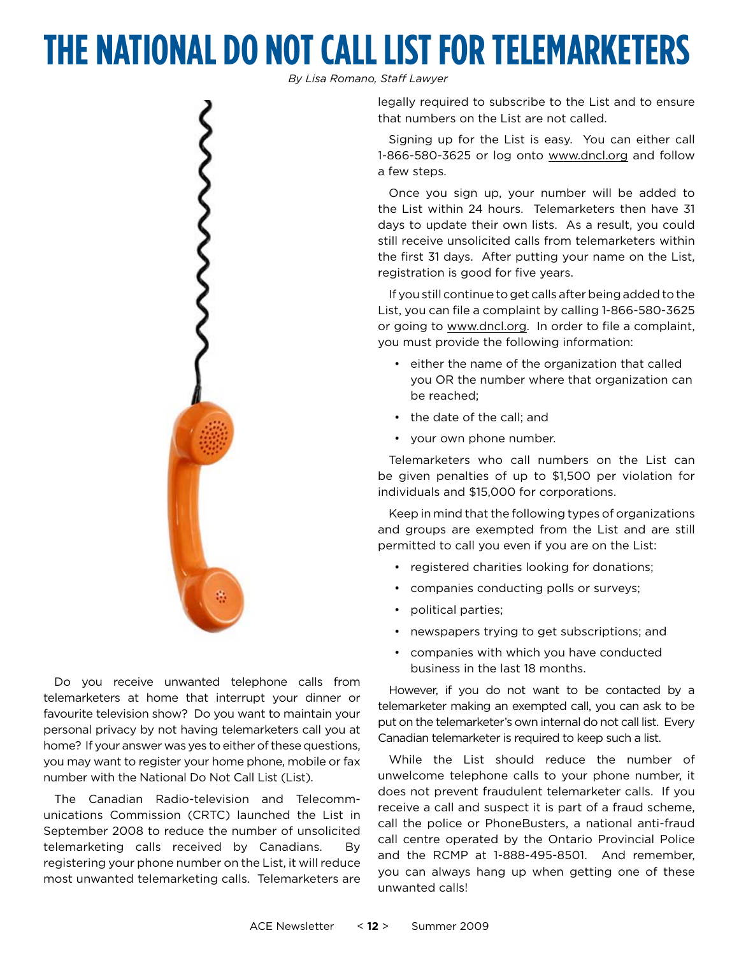# **The National Do Not Call Listfor Telemarketers**

*By Lisa Romano, Staff Lawyer*

legally required to subscribe to the List and to ensure that numbers on the List are not called.

Signing up for the List is easy. You can either call 1-866-580-3625 or log onto www.dncl.org and follow a few steps.

Once you sign up, your number will be added to the List within 24 hours. Telemarketers then have 31 days to update their own lists. As a result, you could still receive unsolicited calls from telemarketers within the first 31 days. After putting your name on the List, registration is good for five years.

If you still continue to get calls after being added to the List, you can file a complaint by calling 1-866-580-3625 or going to www.dncl.org. In order to file a complaint, you must provide the following information:

- either the name of the organization that called you OR the number where that organization can be reached;
- the date of the call; and
- your own phone number.

Telemarketers who call numbers on the List can be given penalties of up to \$1,500 per violation for individuals and \$15,000 for corporations.

Keep in mind that the following types of organizations and groups are exempted from the List and are still permitted to call you even if you are on the List:

- registered charities looking for donations;
- companies conducting polls or surveys;
- political parties;
- newspapers trying to get subscriptions; and
- companies with which you have conducted business in the last 18 months.

However, if you do not want to be contacted by a telemarketer making an exempted call, you can ask to be put on the telemarketer's own internal do not call list. Every Canadian telemarketer is required to keep such a list.

While the List should reduce the number of unwelcome telephone calls to your phone number, it does not prevent fraudulent telemarketer calls. If you receive a call and suspect it is part of a fraud scheme, call the police or PhoneBusters, a national anti-fraud call centre operated by the Ontario Provincial Police and the RCMP at 1-888-495-8501. And remember, you can always hang up when getting one of these unwanted calls!



Do you receive unwanted telephone calls from telemarketers at home that interrupt your dinner or favourite television show? Do you want to maintain your personal privacy by not having telemarketers call you at home? If your answer was yes to either of these questions, you may want to register your home phone, mobile or fax number with the National Do Not Call List (List).

The Canadian Radio-television and Telecommunications Commission (CRTC) launched the List in September 2008 to reduce the number of unsolicited telemarketing calls received by Canadians. By registering your phone number on the List, it will reduce most unwanted telemarketing calls. Telemarketers are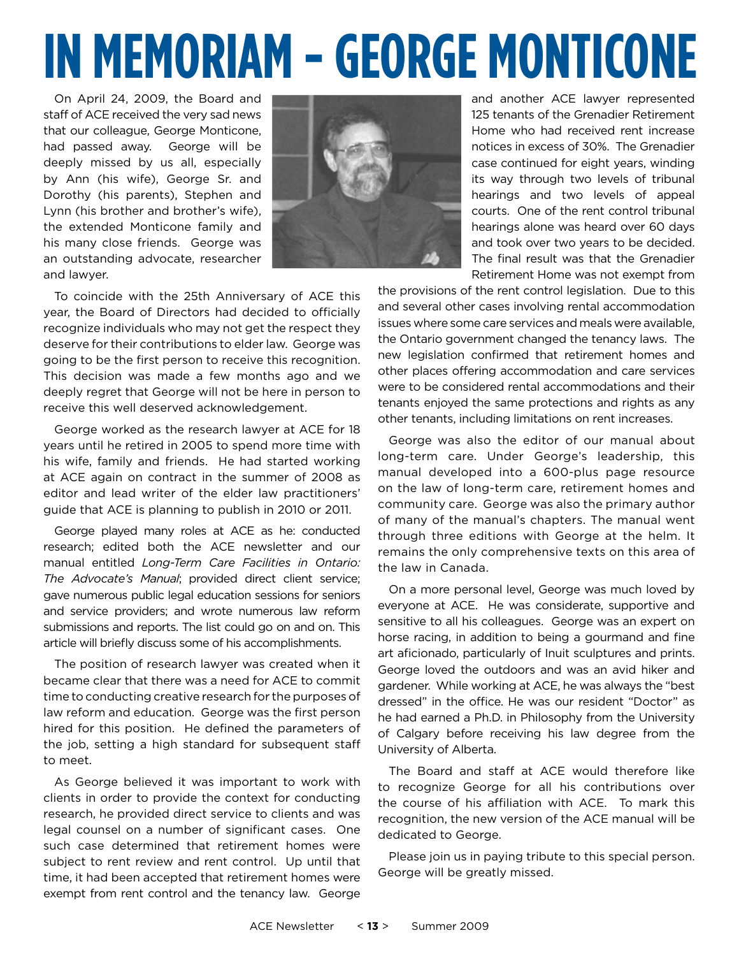# **IN MEMORIAM - George Monticone**

On April 24, 2009, the Board and staff of ACE received the very sad news that our colleague, George Monticone, had passed away. George will be deeply missed by us all, especially by Ann (his wife), George Sr. and Dorothy (his parents), Stephen and Lynn (his brother and brother's wife), the extended Monticone family and his many close friends. George was an outstanding advocate, researcher and lawyer.



and another ACE lawyer represented 125 tenants of the Grenadier Retirement Home who had received rent increase notices in excess of 30%. The Grenadier case continued for eight years, winding its way through two levels of tribunal hearings and two levels of appeal courts. One of the rent control tribunal hearings alone was heard over 60 days and took over two years to be decided. The final result was that the Grenadier Retirement Home was not exempt from

To coincide with the 25th Anniversary of ACE this year, the Board of Directors had decided to officially recognize individuals who may not get the respect they deserve for their contributions to elder law. George was going to be the first person to receive this recognition. This decision was made a few months ago and we deeply regret that George will not be here in person to receive this well deserved acknowledgement.

George worked as the research lawyer at ACE for 18 years until he retired in 2005 to spend more time with his wife, family and friends. He had started working at ACE again on contract in the summer of 2008 as editor and lead writer of the elder law practitioners' guide that ACE is planning to publish in 2010 or 2011.

George played many roles at ACE as he: conducted research; edited both the ACE newsletter and our manual entitled *Long-Term Care Facilities in Ontario: The Advocate's Manual*; provided direct client service; gave numerous public legal education sessions for seniors and service providers; and wrote numerous law reform submissions and reports. The list could go on and on. This article will briefly discuss some of his accomplishments.

The position of research lawyer was created when it became clear that there was a need for ACE to commit time to conducting creative research for the purposes of law reform and education. George was the first person hired for this position. He defined the parameters of the job, setting a high standard for subsequent staff to meet.

As George believed it was important to work with clients in order to provide the context for conducting research, he provided direct service to clients and was legal counsel on a number of significant cases. One such case determined that retirement homes were subject to rent review and rent control. Up until that time, it had been accepted that retirement homes were exempt from rent control and the tenancy law. George the provisions of the rent control legislation. Due to this and several other cases involving rental accommodation issues where some care services and meals were available, the Ontario government changed the tenancy laws. The new legislation confirmed that retirement homes and other places offering accommodation and care services were to be considered rental accommodations and their tenants enjoyed the same protections and rights as any other tenants, including limitations on rent increases.

George was also the editor of our manual about long-term care. Under George's leadership, this manual developed into a 600-plus page resource on the law of long-term care, retirement homes and community care. George was also the primary author of many of the manual's chapters. The manual went through three editions with George at the helm. It remains the only comprehensive texts on this area of the law in Canada.

On a more personal level, George was much loved by everyone at ACE. He was considerate, supportive and sensitive to all his colleagues. George was an expert on horse racing, in addition to being a gourmand and fine art aficionado, particularly of Inuit sculptures and prints. George loved the outdoors and was an avid hiker and gardener. While working at ACE, he was always the "best dressed" in the office. He was our resident "Doctor" as he had earned a Ph.D. in Philosophy from the University of Calgary before receiving his law degree from the University of Alberta.

The Board and staff at ACE would therefore like to recognize George for all his contributions over the course of his affiliation with ACE. To mark this recognition, the new version of the ACE manual will be dedicated to George.

Please join us in paying tribute to this special person. George will be greatly missed.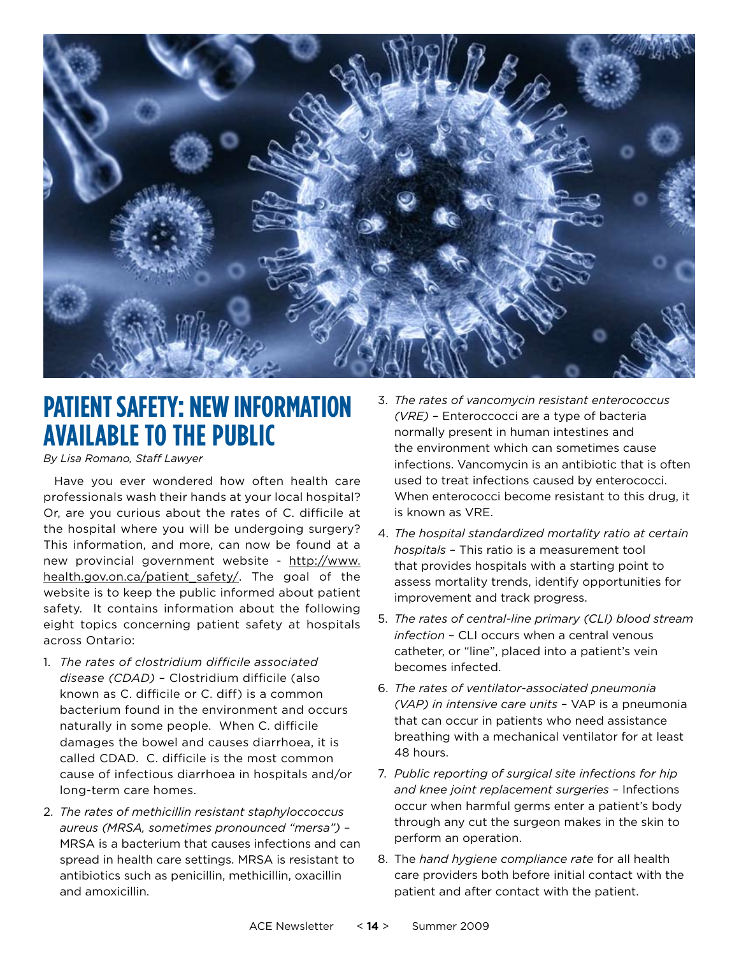

### **Patient Safety: New Information Available to the Public**

*By Lisa Romano, Staff Lawyer*

Have you ever wondered how often health care professionals wash their hands at your local hospital? Or, are you curious about the rates of C. difficile at the hospital where you will be undergoing surgery? This information, and more, can now be found at a new provincial government website - http://www. health.gov.on.ca/patient safety/. The goal of the website is to keep the public informed about patient safety. It contains information about the following eight topics concerning patient safety at hospitals across Ontario:

- 1. *The rates of clostridium difficile associated disease (CDAD)* – Clostridium difficile (also known as C. difficile or C. diff) is a common bacterium found in the environment and occurs naturally in some people. When C. difficile damages the bowel and causes diarrhoea, it is called CDAD. C. difficile is the most common cause of infectious diarrhoea in hospitals and/or long-term care homes.
- 2. *The rates of methicillin resistant staphyloccoccus aureus (MRSA, sometimes pronounced "mersa")* – MRSA is a bacterium that causes infections and can spread in health care settings. MRSA is resistant to antibiotics such as penicillin, methicillin, oxacillin and amoxicillin.
- 3. *The rates of vancomycin resistant enterococcus (VRE)* – Enteroccocci are a type of bacteria normally present in human intestines and the environment which can sometimes cause infections. Vancomycin is an antibiotic that is often used to treat infections caused by enterococci. When enterococci become resistant to this drug, it is known as VRE.
- 4. *The hospital standardized mortality ratio at certain hospitals* – This ratio is a measurement tool that provides hospitals with a starting point to assess mortality trends, identify opportunities for improvement and track progress.
- 5. *The rates of central-line primary (CLI) blood stream infection* – CLI occurs when a central venous catheter, or "line", placed into a patient's vein becomes infected.
- 6. *The rates of ventilator-associated pneumonia (VAP) in intensive care units* – VAP is a pneumonia that can occur in patients who need assistance breathing with a mechanical ventilator for at least 48 hours.
- 7. *Public reporting of surgical site infections for hip and knee joint replacement surgeries* – Infections occur when harmful germs enter a patient's body through any cut the surgeon makes in the skin to perform an operation.
- 8. The *hand hygiene compliance rate* for all health care providers both before initial contact with the patient and after contact with the patient.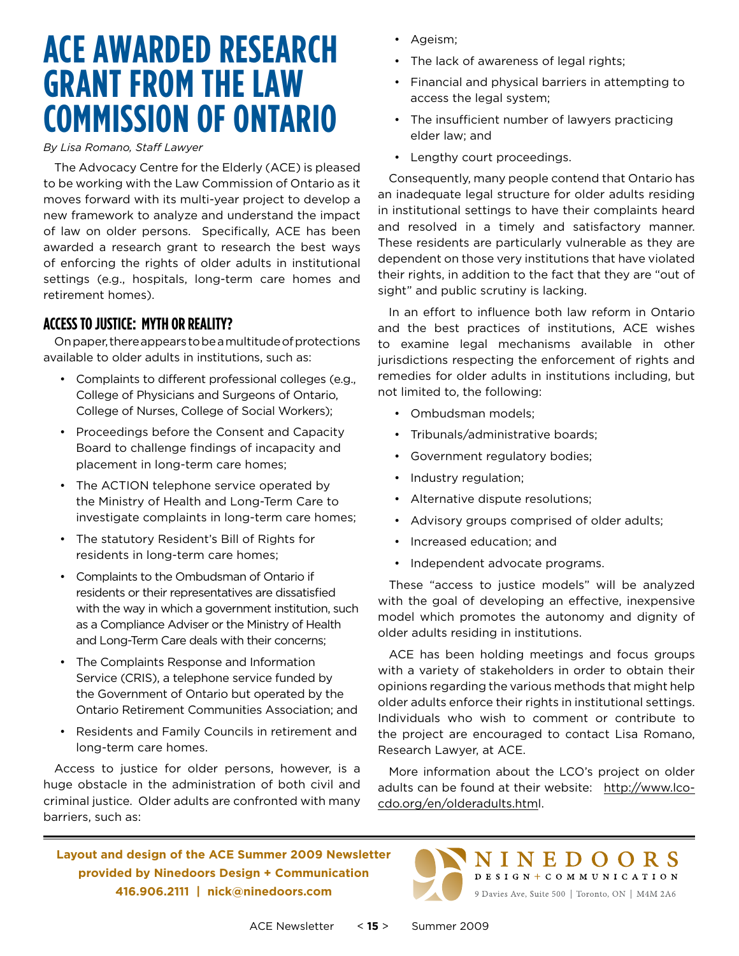# **ACE Awarded Research Grant from the Law Commission of Ontario**

#### *By Lisa Romano, Staff Lawyer*

The Advocacy Centre for the Elderly (ACE) is pleased to be working with the Law Commission of Ontario as it moves forward with its multi-year project to develop a new framework to analyze and understand the impact of law on older persons. Specifically, ACE has been awarded a research grant to research the best ways of enforcing the rights of older adults in institutional settings (e.g., hospitals, long-term care homes and retirement homes).

#### **Accessto Justice: Myth or Reality?**

On paper, there appears to be a multitude of protections available to older adults in institutions, such as:

- Complaints to different professional colleges (e.g., College of Physicians and Surgeons of Ontario, College of Nurses, College of Social Workers);
- Proceedings before the Consent and Capacity Board to challenge findings of incapacity and placement in long-term care homes;
- The ACTION telephone service operated by the Ministry of Health and Long-Term Care to investigate complaints in long-term care homes;
- The statutory Resident's Bill of Rights for residents in long-term care homes;
- Complaints to the Ombudsman of Ontario if residents or their representatives are dissatisfied with the way in which a government institution, such as a Compliance Adviser or the Ministry of Health and Long-Term Care deals with their concerns;
- The Complaints Response and Information Service (CRIS), a telephone service funded by the Government of Ontario but operated by the Ontario Retirement Communities Association; and
- Residents and Family Councils in retirement and long-term care homes.

Access to justice for older persons, however, is a huge obstacle in the administration of both civil and criminal justice. Older adults are confronted with many barriers, such as:

- Ageism;
- The lack of awareness of legal rights;
- Financial and physical barriers in attempting to access the legal system;
- The insufficient number of lawyers practicing elder law; and
- Lengthy court proceedings.

Consequently, many people contend that Ontario has an inadequate legal structure for older adults residing in institutional settings to have their complaints heard and resolved in a timely and satisfactory manner. These residents are particularly vulnerable as they are dependent on those very institutions that have violated their rights, in addition to the fact that they are "out of sight" and public scrutiny is lacking.

In an effort to influence both law reform in Ontario and the best practices of institutions, ACE wishes to examine legal mechanisms available in other jurisdictions respecting the enforcement of rights and remedies for older adults in institutions including, but not limited to, the following:

- Ombudsman models;
- Tribunals/administrative boards;
- Government regulatory bodies;
- Industry regulation;
- Alternative dispute resolutions;
- Advisory groups comprised of older adults;
- Increased education; and
- Independent advocate programs.

These "access to justice models" will be analyzed with the goal of developing an effective, inexpensive model which promotes the autonomy and dignity of older adults residing in institutions.

ACE has been holding meetings and focus groups with a variety of stakeholders in order to obtain their opinions regarding the various methods that might help older adults enforce their rights in institutional settings. Individuals who wish to comment or contribute to the project are encouraged to contact Lisa Romano, Research Lawyer, at ACE.

More information about the LCO's project on older adults can be found at their website: http://www.lcocdo.org/en/olderadults.html.

> NINEDOORS DESIGN + COMMUNICATION 9 Davies Ave, Suite 500 | Toronto, ON | M4M 2A6

**Layout and design of the ACE Summer 2009 Newsletter provided by Ninedoors Design + Communication 416.906.2111 | nick@ninedoors.com**